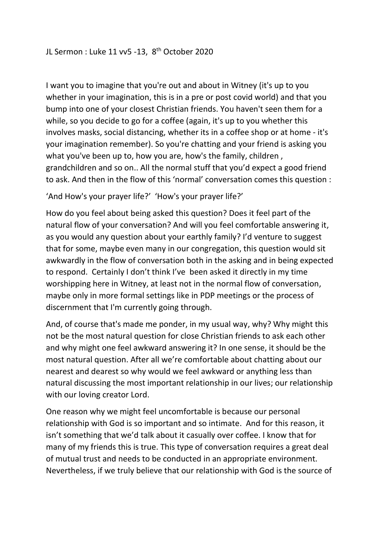I want you to imagine that you're out and about in Witney (it's up to you whether in your imagination, this is in a pre or post covid world) and that you bump into one of your closest Christian friends. You haven't seen them for a while, so you decide to go for a coffee (again, it's up to you whether this involves masks, social distancing, whether its in a coffee shop or at home - it's your imagination remember). So you're chatting and your friend is asking you what you've been up to, how you are, how's the family, children , grandchildren and so on.. All the normal stuff that you'd expect a good friend to ask. And then in the flow of this 'normal' conversation comes this question :

'And How's your prayer life?' 'How's your prayer life?'

How do you feel about being asked this question? Does it feel part of the natural flow of your conversation? And will you feel comfortable answering it, as you would any question about your earthly family? I'd venture to suggest that for some, maybe even many in our congregation, this question would sit awkwardly in the flow of conversation both in the asking and in being expected to respond. Certainly I don't think I've been asked it directly in my time worshipping here in Witney, at least not in the normal flow of conversation, maybe only in more formal settings like in PDP meetings or the process of discernment that I'm currently going through.

And, of course that's made me ponder, in my usual way, why? Why might this not be the most natural question for close Christian friends to ask each other and why might one feel awkward answering it? In one sense, it should be the most natural question. After all we're comfortable about chatting about our nearest and dearest so why would we feel awkward or anything less than natural discussing the most important relationship in our lives; our relationship with our loving creator Lord.

One reason why we might feel uncomfortable is because our personal relationship with God is so important and so intimate. And for this reason, it isn't something that we'd talk about it casually over coffee. I know that for many of my friends this is true. This type of conversation requires a great deal of mutual trust and needs to be conducted in an appropriate environment. Nevertheless, if we truly believe that our relationship with God is the source of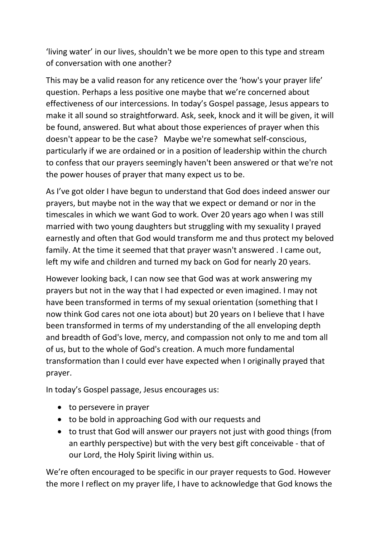'living water' in our lives, shouldn't we be more open to this type and stream of conversation with one another?

This may be a valid reason for any reticence over the 'how's your prayer life' question. Perhaps a less positive one maybe that we're concerned about effectiveness of our intercessions. In today's Gospel passage, Jesus appears to make it all sound so straightforward. Ask, seek, knock and it will be given, it will be found, answered. But what about those experiences of prayer when this doesn't appear to be the case? Maybe we're somewhat self-conscious, particularly if we are ordained or in a position of leadership within the church to confess that our prayers seemingly haven't been answered or that we're not the power houses of prayer that many expect us to be.

As I've got older I have begun to understand that God does indeed answer our prayers, but maybe not in the way that we expect or demand or nor in the timescales in which we want God to work. Over 20 years ago when I was still married with two young daughters but struggling with my sexuality I prayed earnestly and often that God would transform me and thus protect my beloved family. At the time it seemed that that prayer wasn't answered . I came out, left my wife and children and turned my back on God for nearly 20 years.

However looking back, I can now see that God was at work answering my prayers but not in the way that I had expected or even imagined. I may not have been transformed in terms of my sexual orientation (something that I now think God cares not one iota about) but 20 years on I believe that I have been transformed in terms of my understanding of the all enveloping depth and breadth of God's love, mercy, and compassion not only to me and tom all of us, but to the whole of God's creation. A much more fundamental transformation than I could ever have expected when I originally prayed that prayer.

In today's Gospel passage, Jesus encourages us:

- to persevere in prayer
- to be bold in approaching God with our requests and
- to trust that God will answer our prayers not just with good things (from an earthly perspective) but with the very best gift conceivable - that of our Lord, the Holy Spirit living within us.

We're often encouraged to be specific in our prayer requests to God. However the more I reflect on my prayer life, I have to acknowledge that God knows the